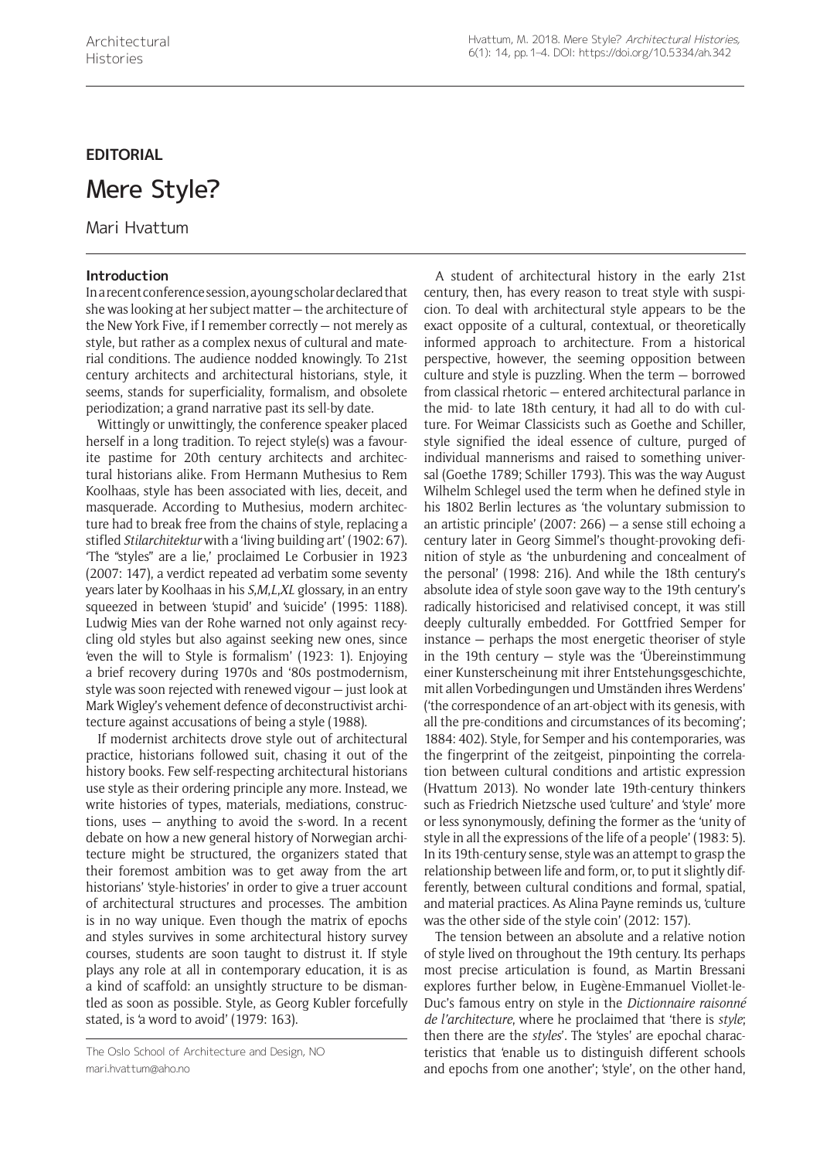# **EDITORIAL**

# Mere Style?

Mari Hvattum

## **Introduction**

In a recent conference session, a young scholar declared that she was looking at her subject matter — the architecture of the New York Five, if I remember correctly — not merely as style, but rather as a complex nexus of cultural and material conditions. The audience nodded knowingly. To 21st century architects and architectural historians, style, it seems, stands for superficiality, formalism, and obsolete periodization; a grand narrative past its sell-by date.

Wittingly or unwittingly, the conference speaker placed herself in a long tradition. To reject style(s) was a favourite pastime for 20th century architects and architectural historians alike. From Hermann Muthesius to Rem Koolhaas, style has been associated with lies, deceit, and masquerade. According to Muthesius, modern architecture had to break free from the chains of style, replacing a stifled *Stilarchitektur* with a 'living building art' (1902: 67). 'The "styles" are a lie,' proclaimed Le Corbusier in 1923 (2007: 147), a verdict repeated ad verbatim some seventy years later by Koolhaas in his *S*,*M*,*L*,*XL* glossary, in an entry squeezed in between 'stupid' and 'suicide' (1995: 1188). Ludwig Mies van der Rohe warned not only against recycling old styles but also against seeking new ones, since 'even the will to Style is formalism' (1923: 1). Enjoying a brief recovery during 1970s and '80s postmodernism, style was soon rejected with renewed vigour — just look at Mark Wigley's vehement defence of deconstructivist architecture against accusations of being a style (1988).

If modernist architects drove style out of architectural practice, historians followed suit, chasing it out of the history books. Few self-respecting architectural historians use style as their ordering principle any more. Instead, we write histories of types, materials, mediations, constructions, uses — anything to avoid the s-word. In a recent debate on how a new general history of Norwegian architecture might be structured, the organizers stated that their foremost ambition was to get away from the art historians' 'style-histories' in order to give a truer account of architectural structures and processes. The ambition is in no way unique. Even though the matrix of epochs and styles survives in some architectural history survey courses, students are soon taught to distrust it. If style plays any role at all in contemporary education, it is as a kind of scaffold: an unsightly structure to be dismantled as soon as possible. Style, as Georg Kubler forcefully stated, is 'a word to avoid' (1979: 163).

A student of architectural history in the early 21st century, then, has every reason to treat style with suspicion. To deal with architectural style appears to be the exact opposite of a cultural, contextual, or theoretically informed approach to architecture. From a historical perspective, however, the seeming opposition between culture and style is puzzling. When the term — borrowed from classical rhetoric — entered architectural parlance in the mid- to late 18th century, it had all to do with culture. For Weimar Classicists such as Goethe and Schiller, style signified the ideal essence of culture, purged of individual mannerisms and raised to something universal (Goethe 1789; Schiller 1793). This was the way August Wilhelm Schlegel used the term when he defined style in his 1802 Berlin lectures as 'the voluntary submission to an artistic principle' (2007: 266) — a sense still echoing a century later in Georg Simmel's thought-provoking definition of style as 'the unburdening and concealment of the personal' (1998: 216). And while the 18th century's absolute idea of style soon gave way to the 19th century's radically historicised and relativised concept, it was still deeply culturally embedded. For Gottfried Semper for instance — perhaps the most energetic theoriser of style in the 19th century — style was the 'Übereinstimmung einer Kunsterscheinung mit ihrer Entstehungsgeschichte, mit allen Vorbedingungen und Umständen ihres Werdens' ('the correspondence of an art-object with its genesis, with all the pre-conditions and circumstances of its becoming'; 1884: 402). Style, for Semper and his contemporaries, was the fingerprint of the zeitgeist, pinpointing the correlation between cultural conditions and artistic expression (Hvattum 2013). No wonder late 19th-century thinkers such as Friedrich Nietzsche used 'culture' and 'style' more or less synonymously, defining the former as the 'unity of style in all the expressions of the life of a people' (1983: 5). In its 19th-century sense, style was an attempt to grasp the relationship between life and form, or, to put it slightly differently, between cultural conditions and formal, spatial, and material practices. As Alina Payne reminds us, 'culture was the other side of the style coin' (2012: 157).

The tension between an absolute and a relative notion of style lived on throughout the 19th century. Its perhaps most precise articulation is found, as Martin Bressani explores further below, in Eugène-Emmanuel Viollet-le-Duc's famous entry on style in the *Dictionnaire raisonné de l'architecture*, where he proclaimed that 'there is *style*; then there are the *styles*'. The 'styles' are epochal characteristics that 'enable us to distinguish different schools and epochs from one another'; 'style', on the other hand,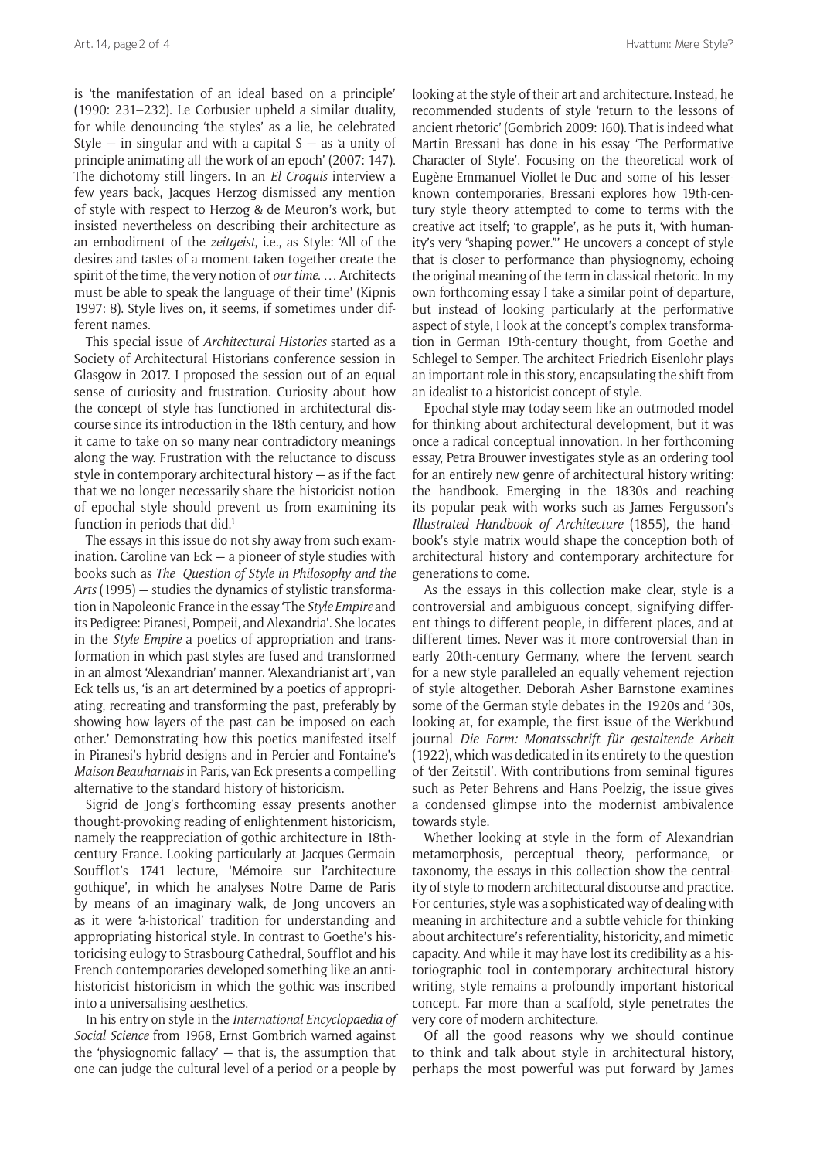is 'the manifestation of an ideal based on a principle' (1990: 231–232). Le Corbusier upheld a similar duality, for while denouncing 'the styles' as a lie, he celebrated Style  $-$  in singular and with a capital  $S -$  as 'a unity of principle animating all the work of an epoch' (2007: 147). The dichotomy still lingers. In an *El Croquis* interview a few years back, Jacques Herzog dismissed any mention of style with respect to Herzog & de Meuron's work, but insisted nevertheless on describing their architecture as an embodiment of the *zeitgeist*, i.e., as Style: 'All of the desires and tastes of a moment taken together create the spirit of the time, the very notion of *our time*. … Architects must be able to speak the language of their time' (Kipnis 1997: 8). Style lives on, it seems, if sometimes under different names.

This special issue of *Architectural Histories* started as a Society of Architectural Historians conference session in Glasgow in 2017. I proposed the session out of an equal sense of curiosity and frustration. Curiosity about how the concept of style has functioned in architectural discourse since its introduction in the 18th century, and how it came to take on so many near contradictory meanings along the way. Frustration with the reluctance to discuss style in contemporary architectural history — as if the fact that we no longer necessarily share the historicist notion of epochal style should prevent us from examining its function in periods that did.<sup>1</sup>

The essays in this issue do not shy away from such examination. Caroline van Eck — a pioneer of style studies with books such as *The Question of Style in Philosophy and the Arts* (1995) — studies the dynamics of stylistic transformation in Napoleonic France in the essay 'The *Style Empire* and its Pedigree: Piranesi, Pompeii, and Alexandria'. She locates in the *Style Empire* a poetics of appropriation and transformation in which past styles are fused and transformed in an almost 'Alexandrian' manner. 'Alexandrianist art', van Eck tells us, 'is an art determined by a poetics of appropriating, recreating and transforming the past, preferably by showing how layers of the past can be imposed on each other.' Demonstrating how this poetics manifested itself in Piranesi's hybrid designs and in Percier and Fontaine's *Maison Beauharnais* in Paris, van Eck presents a compelling alternative to the standard history of historicism.

Sigrid de Jong's forthcoming essay presents another thought-provoking reading of enlightenment historicism, namely the reappreciation of gothic architecture in 18thcentury France. Looking particularly at Jacques-Germain Soufflot's 1741 lecture, 'Mémoire sur l'architecture gothique', in which he analyses Notre Dame de Paris by means of an imaginary walk, de Jong uncovers an as it were 'a-historical' tradition for understanding and appropriating historical style. In contrast to Goethe's historicising eulogy to Strasbourg Cathedral, Soufflot and his French contemporaries developed something like an antihistoricist historicism in which the gothic was inscribed into a universalising aesthetics.

In his entry on style in the *International Encyclopaedia of Social Science* from 1968, Ernst Gombrich warned against the 'physiognomic fallacy' — that is, the assumption that one can judge the cultural level of a period or a people by

looking at the style of their art and architecture. Instead, he recommended students of style 'return to the lessons of ancient rhetoric' (Gombrich 2009: 160). That is indeed what Martin Bressani has done in his essay 'The Performative Character of Style'. Focusing on the theoretical work of Eugène-Emmanuel Viollet-le-Duc and some of his lesserknown contemporaries, Bressani explores how 19th-century style theory attempted to come to terms with the creative act itself; 'to grapple', as he puts it, 'with humanity's very "shaping power."' He uncovers a concept of style that is closer to performance than physiognomy, echoing the original meaning of the term in classical rhetoric. In my own forthcoming essay I take a similar point of departure, but instead of looking particularly at the performative aspect of style, I look at the concept's complex transformation in German 19th-century thought, from Goethe and Schlegel to Semper. The architect Friedrich Eisenlohr plays an important role in this story, encapsulating the shift from an idealist to a historicist concept of style.

Epochal style may today seem like an outmoded model for thinking about architectural development, but it was once a radical conceptual innovation. In her forthcoming essay, Petra Brouwer investigates style as an ordering tool for an entirely new genre of architectural history writing: the handbook. Emerging in the 1830s and reaching its popular peak with works such as James Fergusson's *Illustrated Handbook of Architecture* (1855), the handbook's style matrix would shape the conception both of architectural history and contemporary architecture for generations to come.

As the essays in this collection make clear, style is a controversial and ambiguous concept, signifying different things to different people, in different places, and at different times. Never was it more controversial than in early 20th-century Germany, where the fervent search for a new style paralleled an equally vehement rejection of style altogether. Deborah Asher Barnstone examines some of the German style debates in the 1920s and '30s, looking at, for example, the first issue of the Werkbund journal *Die Form: Monatsschrift für gestaltende Arbeit* (1922), which was dedicated in its entirety to the question of 'der Zeitstil'. With contributions from seminal figures such as Peter Behrens and Hans Poelzig, the issue gives a condensed glimpse into the modernist ambivalence towards style.

Whether looking at style in the form of Alexandrian metamorphosis, perceptual theory, performance, or taxonomy, the essays in this collection show the centrality of style to modern architectural discourse and practice. For centuries, style was a sophisticated way of dealing with meaning in architecture and a subtle vehicle for thinking about architecture's referentiality, historicity, and mimetic capacity. And while it may have lost its credibility as a historiographic tool in contemporary architectural history writing, style remains a profoundly important historical concept. Far more than a scaffold, style penetrates the very core of modern architecture.

Of all the good reasons why we should continue to think and talk about style in architectural history, perhaps the most powerful was put forward by James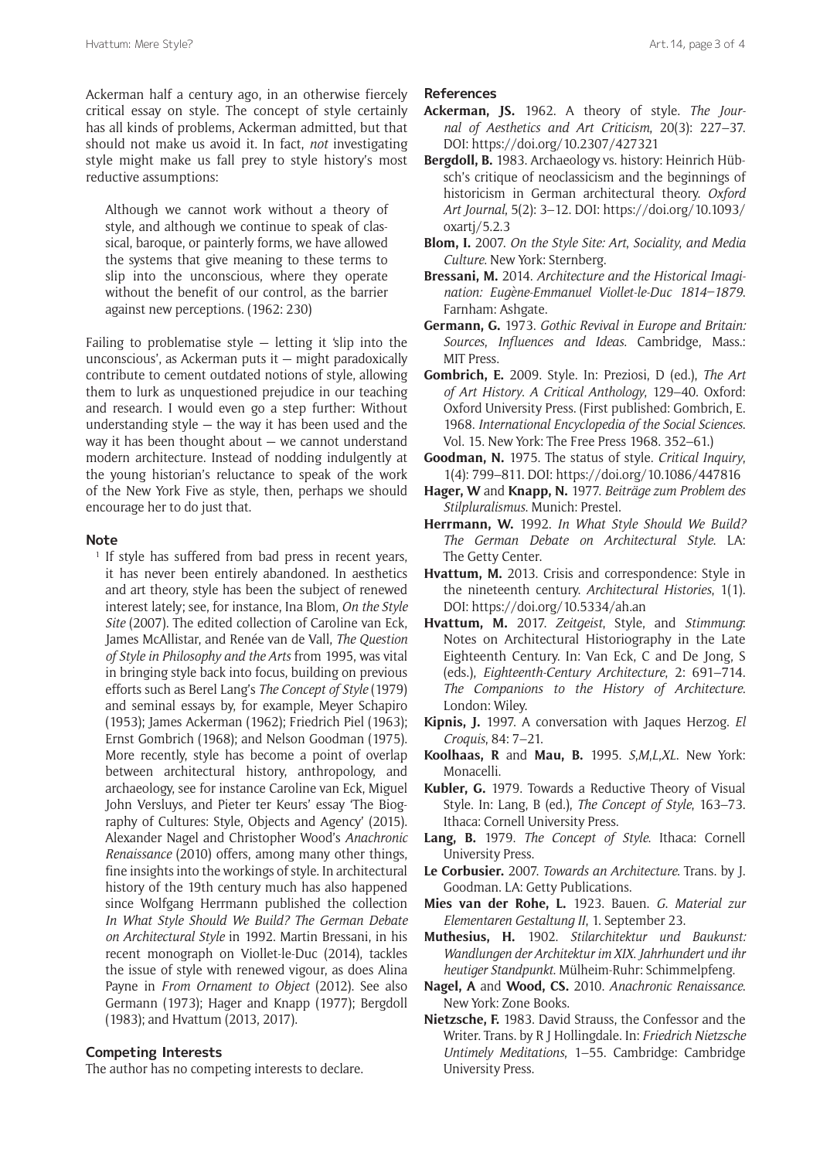Ackerman half a century ago, in an otherwise fiercely critical essay on style. The concept of style certainly has all kinds of problems, Ackerman admitted, but that should not make us avoid it. In fact, *not* investigating style might make us fall prey to style history's most reductive assumptions:

Although we cannot work without a theory of style, and although we continue to speak of classical, baroque, or painterly forms, we have allowed the systems that give meaning to these terms to slip into the unconscious, where they operate without the benefit of our control, as the barrier against new perceptions. (1962: 230)

Failing to problematise style  $-$  letting it 'slip into the unconscious', as Ackerman puts it — might paradoxically contribute to cement outdated notions of style, allowing them to lurk as unquestioned prejudice in our teaching and research. I would even go a step further: Without understanding style  $-$  the way it has been used and the way it has been thought about — we cannot understand modern architecture. Instead of nodding indulgently at the young historian's reluctance to speak of the work of the New York Five as style, then, perhaps we should encourage her to do just that.

#### **Note**

<sup>1</sup> If style has suffered from bad press in recent years, it has never been entirely abandoned. In aesthetics and art theory, style has been the subject of renewed interest lately; see, for instance, Ina Blom, *On the Style Site* (2007). The edited collection of Caroline van Eck, James McAllistar, and Renée van de Vall, *The Question of Style in Philosophy and the Arts* from 1995, was vital in bringing style back into focus, building on previous efforts such as Berel Lang's *The Concept of Style* (1979) and seminal essays by, for example, Meyer Schapiro (1953); James Ackerman (1962); Friedrich Piel (1963); Ernst Gombrich (1968); and Nelson Goodman (1975). More recently, style has become a point of overlap between architectural history, anthropology, and archaeology, see for instance Caroline van Eck, Miguel John Versluys, and Pieter ter Keurs' essay 'The Biography of Cultures: Style, Objects and Agency' (2015). Alexander Nagel and Christopher Wood's *Anachronic Renaissance* (2010) offers, among many other things, fine insights into the workings of style. In architectural history of the 19th century much has also happened since Wolfgang Herrmann published the collection *In What Style Should We Build? The German Debate on Architectural Style* in 1992. Martin Bressani, in his recent monograph on Viollet-le-Duc (2014), tackles the issue of style with renewed vigour, as does Alina Payne in *From Ornament to Object* (2012). See also Germann (1973); Hager and Knapp (1977); Bergdoll (1983); and Hvattum (2013, 2017).

### **Competing Interests**

The author has no competing interests to declare.

#### **References**

- **Ackerman, JS.** 1962. A theory of style. *The Journal of Aesthetics and Art Criticism*, 20(3): 227–37. DOI: <https://doi.org/10.2307/427321>
- **Bergdoll, B.** 1983. Archaeology vs. history: Heinrich Hübsch's critique of neoclassicism and the beginnings of historicism in German architectural theory. *Oxford Art Journal*, 5(2): 3–12. DOI: [https://doi.org/10.1093/](https://doi.org/10.1093/oxartj/5.2.3) [oxartj/5.2.3](https://doi.org/10.1093/oxartj/5.2.3)
- **Blom, I.** 2007. *On the Style Site: Art*, *Sociality*, *and Media Culture*. New York: Sternberg.
- **Bressani, M.** 2014. *Architecture and the Historical Imagination: Eugène-Emmanuel Viollet-le-Duc 1814–1879*. Farnham: Ashgate.
- **Germann, G.** 1973. *Gothic Revival in Europe and Britain: Sources*, *Influences and Ideas*. Cambridge, Mass.: MIT Press.
- **Gombrich, E.** 2009. Style. In: Preziosi, D (ed.), *The Art of Art History*. *A Critical Anthology*, 129–40. Oxford: Oxford University Press. (First published: Gombrich, E. 1968. *International Encyclopedia of the Social Sciences*. Vol. 15. New York: The Free Press 1968. 352–61.)
- **Goodman, N.** 1975. The status of style. *Critical Inquiry*, 1(4): 799–811. DOI: <https://doi.org/10.1086/447816>
- **Hager, W** and **Knapp, N.** 1977. *Beiträge zum Problem des Stilpluralismus*. Munich: Prestel.
- **Herrmann, W.** 1992. *In What Style Should We Build? The German Debate on Architectural Style*. LA: The Getty Center.
- **Hvattum, M.** 2013. Crisis and correspondence: Style in the nineteenth century. *Architectural Histories*, 1(1). DOI: <https://doi.org/10.5334/ah.an>
- **Hvattum, M.** 2017. *Zeitgeist*, Style, and *Stimmung*: Notes on Architectural Historiography in the Late Eighteenth Century. In: Van Eck, C and De Jong, S (eds.), *Eighteenth-Century Architecture*, 2: 691–714. *The Companions to the History of Architecture*. London: Wiley.
- **Kipnis, J.** 1997. A conversation with Jaques Herzog. *El Croquis*, 84: 7–21.
- **Koolhaas, R** and **Mau, B.** 1995. *S*,*M*,*L*,*XL*. New York: Monacelli.
- **Kubler, G.** 1979. Towards a Reductive Theory of Visual Style. In: Lang, B (ed.), *The Concept of Style*, 163–73. Ithaca: Cornell University Press.
- **Lang, B.** 1979. *The Concept of Style*. Ithaca: Cornell University Press.
- **Le Corbusier.** 2007. *Towards an Architecture*. Trans. by J. Goodman. LA: Getty Publications.
- **Mies van der Rohe, L.** 1923. Bauen. *G*. *Material zur Elementaren Gestaltung II*, 1. September 23.
- **Muthesius, H.** 1902. *Stilarchitektur und Baukunst: Wandlungen der Architektur im XIX*. *Jahrhundert und ihr heutiger Standpunkt*. Mülheim-Ruhr: Schimmelpfeng.
- **Nagel, A** and **Wood, CS.** 2010. *Anachronic Renaissance*. New York: Zone Books.
- **Nietzsche, F.** 1983. David Strauss, the Confessor and the Writer. Trans. by R J Hollingdale. In: *Friedrich Nietzsche Untimely Meditations*, 1–55. Cambridge: Cambridge University Press.